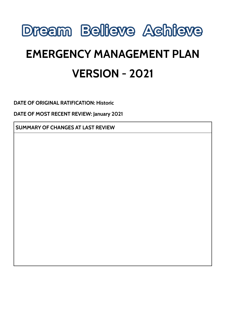

# **EMERGENCY MANAGEMENT PLAN VERSION - 2021**

**DATE OF ORIGINAL RATIFICATION: Historic**

**DATE OF MOST RECENT REVIEW: January 2021**

**SUMMARY OF CHANGES AT LAST REVIEW**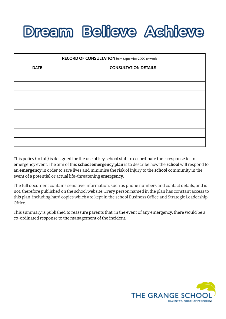# **Dream Believe Achieve**

| RECORD OF CONSULTATION from September 2020 onwards |                             |
|----------------------------------------------------|-----------------------------|
| <b>DATE</b>                                        | <b>CONSULTATION DETAILS</b> |
|                                                    |                             |
|                                                    |                             |
|                                                    |                             |
|                                                    |                             |
|                                                    |                             |
|                                                    |                             |
|                                                    |                             |
|                                                    |                             |

This policy (in full) is designed for the use of key school staff to co-ordinate their response to an emergency event. The aim of this **school emergency plan** is to describe how the **school** will respond to an **emergency** in order to save lives and minimise the risk of injury to the **school** community in the event of a potential or actual life-threatening **emergency**.

The full document contains sensitive information, such as phone numbers and contact details, and is not, therefore published on the school website. Every person named in the plan has constant access to this plan, including hard copies which are kept in the school Business Office and Strategic Leadership Office.

This summary is published to reassure parents that, in the event of any emergency, there would be a co-ordinated response to the management of the incident.